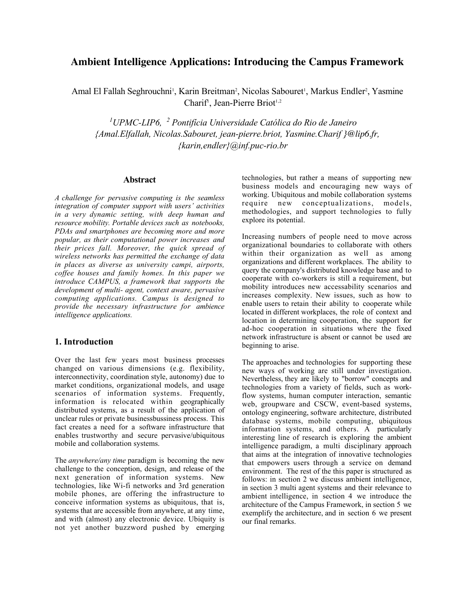# **Ambient Intelligence Applications: Introducing the Campus Framework**

Amal El Fallah Seghrouchni<sup>1</sup>, Karin Breitman<sup>2</sup>, Nicolas Sabouret<sup>1</sup>, Markus Endler<sup>2</sup>, Yasmine Charif<sup>1</sup>, Jean-Pierre Briot<sup>1,2</sup>

*1 UPMC-LIP6, <sup>2</sup> Pontifícia Universidade Católica do Rio de Janeiro {Amal.Elfallah, Nicolas.Sabouret, jean-pierre.briot, Yasmine.Charif }@lip6.fr, {karin,endler}@inf.puc-rio.br*

### Abstract

*A challenge for pervasive computing is the seamless integration of computer support with users' activities in a very dynamic setting, with deep human and resource mobility. Portable devices such as notebooks, PDAs and smartphones are becoming more and more popular, as their computational power increases and their prices fall. Moreover, the quick spread of wireless networks has permitted the exchange of data in places as diverse as university campi, airports, coffee houses and family homes. In this paper we introduce CAMPUS, a framework that supports the development of multi- agent, context aware, pervasive computing applications. Campus is designed to provide the necessary infrastructure for ambience intelligence applications.*

### 1. Introduction

Over the last few years most business processes changed on various dimensions (e.g. flexibility, interconnectivity, coordination style, autonomy) due to market conditions, organizational models, and usage scenarios of information systems. Frequently, information is relocated within geographically distributed systems, as a result of the application of unclear rules or private businessbussiness process. This fact creates a need for a software infrastructure that enables trustworthy and secure pervasive/ubiquitous mobile and collaboration systems.

The *anywhere/any time* paradigm is becoming the new challenge to the conception, design, and release of the next generation of information systems. New technologies, like Wi-fi networks and 3rd generation mobile phones, are offering the infrastructure to conceive information systems as ubiquitous, that is, systems that are accessible from anywhere, at any time, and with (almost) any electronic device. Ubiquity is not yet another buzzword pushed by emerging

technologies, but rather a means of supporting new business models and encouraging new ways of working. Ubiquitous and mobile collaboration systems require new conceptualizations, models, methodologies, and support technologies to fully explore its potential.

Increasing numbers of people need to move across organizational boundaries to collaborate with others within their organization as well as among organizations and different workplaces. The ability to query the company's distributed knowledge base and to cooperate with co-workers is still a requirement, but mobility introduces new accessability scenarios and increases complexity. New issues, such as how to enable users to retain their ability to cooperate while located in different workplaces, the role of context and location in determining cooperation, the support for ad-hoc cooperation in situations where the fixed network infrastructure is absent or cannot be used are beginning to arise.

The approaches and technologies for supporting these new ways of working are still under investigation. Nevertheless, they are likely to "borrow" concepts and technologies from a variety of fields, such as workflow systems, human computer interaction, semantic web, groupware and CSCW, event-based systems, ontology engineering, software architecture, distributed database systems, mobile computing, ubiquitous information systems, and others. A particularly interesting line of research is exploring the ambient intelligence paradigm, a multi disciplinary approach that aims at the integration of innovative technologies that empowers users through a service on demand environment. The rest of the this paper is structured as follows: in section 2 we discuss ambient intelligence, in section 3 multi agent systems and their relevance to ambient intelligence, in section 4 we introduce the architecture of the Campus Framework, in section 5 we exemplify the architecture, and in section 6 we present our final remarks.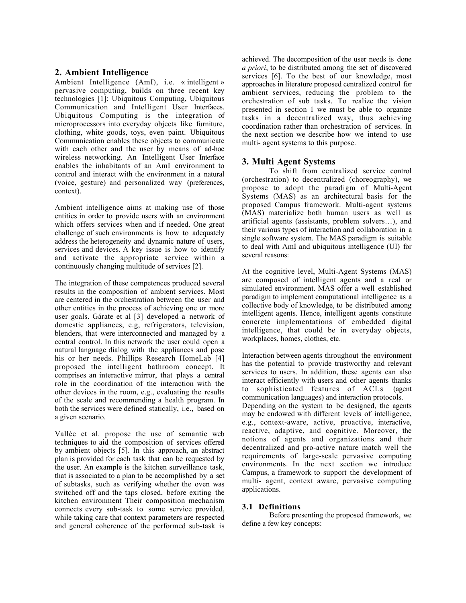## 2. Ambient Intelligence

Ambient Intelligence (AmI), i.e. « intelligent » pervasive computing, builds on three recent key technologies [1]: Ubiquitous Computing, Ubiquitous Communication and Intelligent User Interfaces. Ubiquitous Computing is the integration of microprocessors into everyday objects like furniture, clothing, white goods, toys, even paint. Ubiquitous Communication enables these objects to communicate with each other and the user by means of ad-hoc wireless networking. An Intelligent User Interface enables the inhabitants of an AmI environment to control and interact with the environment in a natural (voice, gesture) and personalized way (preferences, context).

Ambient intelligence aims at making use of those entities in order to provide users with an environment which offers services when and if needed. One great challenge of such environments is how to adequately address the heterogeneity and dynamic nature of users, services and devices. A key issue is how to identify and activate the appropriate service within a continuously changing multitude of services [2].

The integration of these competences produced several results in the composition of ambient services. Most are centered in the orchestration between the user and other entities in the process of achieving one or more user goals. Gárate et al [3] developed a network of domestic appliances, e.g, refrigerators, television, blenders, that were interconnected and managed by a central control. In this network the user could open a natural language dialog with the appliances and pose his or her needs. Phillips Research HomeLab [4] proposed the intelligent bathroom concept. It comprises an interactive mirror, that plays a central role in the coordination of the interaction with the other devices in the room, e.g., evaluating the results of the scale and recommending a health program. In both the services were defined statically, i.e., based on a given scenario.

Vallée et al. propose the use of semantic web techniques to aid the composition of services offered by ambient objects [5]. In this approach, an abstract plan is provided for each task that can be requested by the user. An example is the kitchen surveillance task, that is associated to a plan to be accomplished by a set of subtasks, such as verifying whether the oven was switched off and the taps closed, before exiting the kitchen environment Their composition mechanism connects every sub-task to some service provided, while taking care that context parameters are respected and general coherence of the performed sub-task is

achieved. The decomposition of the user needs is done *a priori*, to be distributed among the set of discovered services [6]. To the best of our knowledge, most approaches in literature proposed centralized control for ambient services, reducing the problem to the orchestration of sub tasks. To realize the vision presented in section 1 we must be able to organize tasks in a decentralized way, thus achieving coordination rather than orchestration of services. In the next section we describe how we intend to use multi- agent systems to this purpose.

# 3. Multi Agent Systems

To shift from centralized service control (orchestration) to decentralized (choreography), we propose to adopt the paradigm of Multi-Agent Systems (MAS) as an architectural basis for the proposed Campus framework. Multi-agent systems (MAS) materialize both human users as well as artificial agents (assistants, problem solvers…), and their various types of interaction and collaboration in a single software system. The MAS paradigm is suitable to deal with AmI and ubiquitous intelligence (UI) for several reasons:

At the cognitive level, Multi-Agent Systems (MAS) are composed of intelligent agents and a real or simulated environment. MAS offer a well established paradigm to implement computational intelligence as a collective body of knowledge, to be distributed among intelligent agents. Hence, intelligent agents constitute concrete implementations of embedded digital intelligence, that could be in everyday objects, workplaces, homes, clothes, etc.

Interaction between agents throughout the environment has the potential to provide trustworthy and relevant services to users. In addition, these agents can also interact efficiently with users and other agents thanks to sophisticated features of ACLs (agent communication languages) and interaction protocols. Depending on the system to be designed, the agents may be endowed with different levels of intelligence, e.g., context-aware, active, proactive, interactive, reactive, adaptive, and cognitive. Moreover, the notions of agents and organizations and their decentralized and pro-active nature match well the requirements of large-scale pervasive computing environments. In the next section we introduce Campus, a framework to support the development of multi- agent, context aware, pervasive computing applications.

### 3.1 Definitions

Before presenting the proposed framework, we define a few key concepts: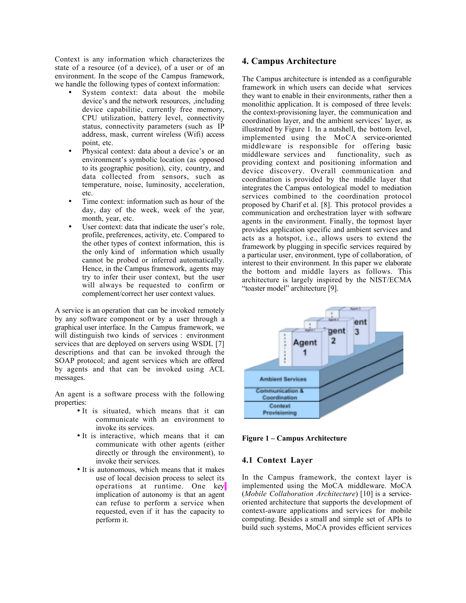Context is any information which characterizes the state of a resource (of a device), of a user or of an environment. In the scope of the Campus framework, we handle the following types of context information:

- System context: data about the mobile device's and the network resources, ,including device capabilitie, currently free memory, CPU utilization, battery level, connectivity status, connectivity parameters (such as IP address, mask, current wireless (Wifi) access point, etc.
- Physical context: data about a device's or an environment's symbolic location (as opposed to its geographic position), city, country, and data collected from sensors, such as temperature, noise, luminosity, acceleration, etc.
- Time context: information such as hour of the day, day of the week, week of the year, month, year, etc.
- User context: data that indicate the user's role, profile, preferences, activity, etc. Compared to the other types of context information, this is the only kind of information which usually cannot be probed or inferred automatically. Hence, in the Campus framework, agents may try to infer their user context, but the user will always be requested to confirm or complement/correct her user context values.

A service is an operation that can be invoked remotely by any software component or by a user through a graphical user interface. In the Campus framework, we will distinguish two kinds of services : environment services that are deployed on servers using WSDL [7] descriptions and that can be invoked through the SOAP protocol; and agent services which are offered by agents and that can be invoked using ACL messages.

An agent is a software process with the following properties:

- It is situated, which means that it can communicate with an environment to invoke its services.
- It is interactive, which means that it can communicate with other agents (either directly or through the environment), to invoke their services.
- It is autonomous, which means that it makes use of local decision process to select its operations at runtime. One key implication of autonomy is that an agent can refuse to perform a service when requested, even if it has the capacity to perform it.

# 4. Campus Architecture

The Campus architecture is intended as a configurable framework in which users can decide what services they want to enable in their environments, rather then a monolithic application. It is composed of three levels: the context-provisioning layer, the communication and coordination layer, and the ambient services' layer, as illustrated by Figure 1. In a nutshell, the bottom level, implemented using the MoCA service-oriented middleware is responsible for offering basic middleware services and functionality, such as providing context and positioning information and device discovery. Overall communication and coordination is provided by the middle layer that integrates the Campus ontological model to mediation services combined to the coordination protocol proposed by Charif et al. [8]. This protocol provides a communication and orchestration layer with software agents in the environment. Finally, the topmost layer provides application specific and ambient services and acts as a hotspot, i.e., allows users to extend the framework by plugging in specific services required by a particular user, environment, type of collaboration, of interest to their environment. In this paper we elaborate the bottom and middle layers as follows. This architecture is largely inspired by the NIST/ECMA "toaster model" architecture [9].



Figure 1 – Campus Architecture

### 4.1 Context Layer

In the Campus framework, the context layer is implemented using the MoCA middleware. MoCA (*Mobile Collaboration Architecture*) [10] is a serviceoriented architecture that supports the development of context-aware applications and services for mobile computing. Besides a small and simple set of APIs to build such systems, MoCA provides efficient services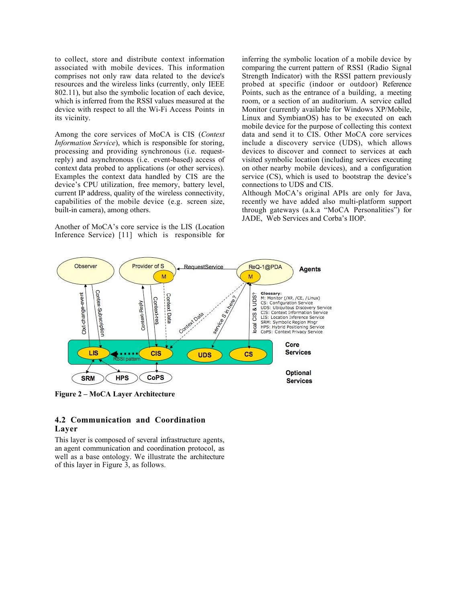to collect, store and distribute context information associated with mobile devices. This information comprises not only raw data related to the device's resources and the wireless links (currently, only IEEE 802.11), but also the symbolic location of each device, which is inferred from the RSSI values measured at the device with respect to all the Wi-Fi Access Points in its vicinity.

Among the core services of MoCA is CIS (*Context Information Service*), which is responsible for storing, processing and providing synchronous (i.e. requestreply) and asynchronous (i.e. event-based) access of context data probed to applications (or other services). Examples the context data handled by CIS are the device's CPU utilization, free memory, battery level, current IP address, quality of the wireless connectivity, capabilities of the mobile device (e.g. screen size, built-in camera), among others.

Another of MoCA's core service is the LIS (Location Inference Service) [11] which is responsible for inferring the symbolic location of a mobile device by comparing the current pattern of RSSI (Radio Signal Strength Indicator) with the RSSI pattern previously probed at specific (indoor or outdoor) Reference Points, such as the entrance of a building, a meeting room, or a section of an auditorium. A service called Monitor (currently available for Windows XP/Mobile, Linux and SymbianOS) has to be executed on each mobile device for the purpose of collecting this context data and send it to CIS. Other MoCA core services include a discovery service (UDS), which allows devices to discover and connect to services at each visited symbolic location (including services executing on other nearby mobile devices), and a configuration service (CS), which is used to bootstrap the device's connections to UDS and CIS.

Although MoCA's original APIs are only for Java, recently we have added also multi-platform support through gateways (a.k.a "MoCA Personalities") for JADE, Web Services and Corba's IIOP.



Figure 2 – MoCA Layer Architecture

### 4.2 Communication and Coordination Layer

This layer is composed of several infrastructure agents, an agent communication and coordination protocol, as well as a base ontology. We illustrate the architecture of this layer in Figure 3, as follows.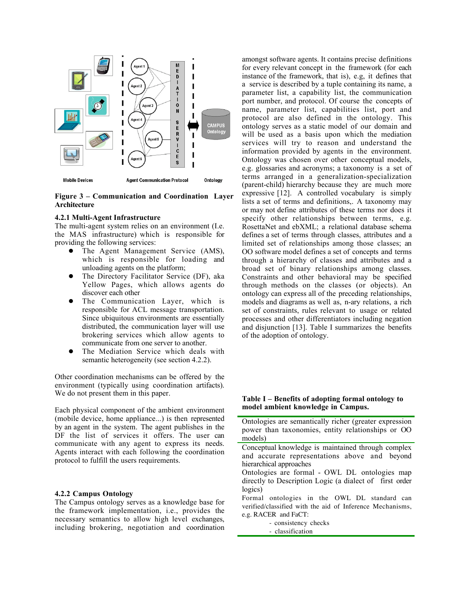

Figure 3 – Communication and Coordination Layer Architecture

### 4.2.1 Multi-Agent Infrastructure

The multi-agent system relies on an environment (I.e. the MAS infrastructure) which is responsible for providing the following services:

- The Agent Management Service (AMS), which is responsible for loading and unloading agents on the platform;
- The Directory Facilitator Service (DF), aka Yellow Pages, which allows agents do discover each other
- The Communication Layer, which is responsible for ACL message transportation. Since ubiquitous environments are essentially distributed, the communication layer will use brokering services which allow agents to communicate from one server to another.
- The Mediation Service which deals with semantic heterogeneity (see section 4.2.2).

Other coordination mechanisms can be offered by the environment (typically using coordination artifacts). We do not present them in this paper.

Each physical component of the ambient environment (mobile device, home appliance...) is then represented by an agent in the system. The agent publishes in the DF the list of services it offers. The user can communicate with any agent to express its needs. Agents interact with each following the coordination protocol to fulfill the users requirements.

#### 4.2.2 Campus Ontology

The Campus ontology serves as a knowledge base for the framework implementation, i.e., provides the necessary semantics to allow high level exchanges, including brokering, negotiation and coordination

amongst software agents. It contains precise definitions for every relevant concept in the framework (for each instance of the framework, that is), e.g, it defines that a service is described by a tuple containing its name, a parameter list, a capability list, the communication port number, and protocol. Of course the concepts of name, parameter list, capabilities list, port and protocol are also defined in the ontology. This ontology serves as a static model of our domain and will be used as a basis upon which the mediation services will try to reason and understand the information provided by agents in the environment. Ontology was chosen over other conceptual models, e.g. glossaries and acronyms; a taxonomy is a set of terms arranged in a generalization-specialization (parent-child) hierarchy because they are much more expressive [12]. A controlled vocabulary is simply lists a set of terms and definitions,. A taxonomy may or may not define attributes of these terms nor does it specify other relationships between terms, e.g. RosettaNet and ebXML; a relational database schema defines a set of terms through classes, attributes and a limited set of relationships among those classes; an OO software model defines a set of concepts and terms through a hierarchy of classes and attributes and a broad set of binary relationships among classes. Constraints and other behavioral may be specified through methods on the classes (or objects). An ontology can express all of the preceding relationships, models and diagrams as well as, n-ary relations, a rich set of constraints, rules relevant to usage or related processes and other differentiators including negation and disjunction [13]. Table I summarizes the benefits of the adoption of ontology.

#### Table I – Benefits of adopting formal ontology to model ambient knowledge in Campus.

Ontologies are semantically richer (greater expression power than taxonomies, entity relationships or OO models)

Conceptual knowledge is maintained through complex and accurate representations above and beyond hierarchical approaches

Ontologies are formal - OWL DL ontologies map directly to Description Logic (a dialect of first order logics)

Formal ontologies in the OWL DL standard can verified/classified with the aid of Inference Mechanisms, e.g. RACER and FaCT:

> - consistency checks - classification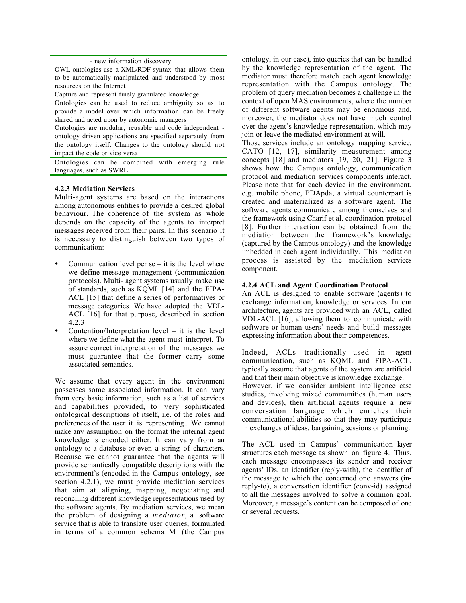- new information discovery

OWL ontologies use a XML/RDF syntax that allows them to be automatically manipulated and understood by most resources on the Internet

Capture and represent finely granulated knowledge

Ontologies can be used to reduce ambiguity so as to provide a model over which information can be freely shared and acted upon by autonomic managers

Ontologies are modular, reusable and code independent ontology driven applications are specified separately from the ontology itself. Changes to the ontology should not impact the code or vice versa

Ontologies can be combined with emerging rule languages, such as SWRL

### 4.2.3 Mediation Services

Multi-agent systems are based on the interactions among autonomous entities to provide a desired global behaviour. The coherence of the system as whole depends on the capacity of the agents to interpret messages received from their pairs. In this scenario it is necessary to distinguish between two types of communication:

- Communication level per  $se$  it is the level where we define message management (communication protocols). Multi- agent systems usually make use of standards, such as KQML [14] and the FIPA-ACL [15] that define a series of performatives or message categories. We have adopted the VDL-ACL [16] for that purpose, described in section 4.2.3
- Contention/Interpretation level  $-$  it is the level where we define what the agent must interpret. To assure correct interpretation of the messages we must guarantee that the former carry some associated semantics.

We assume that every agent in the environment possesses some associated information. It can vary from very basic information, such as a list of services and capabilities provided, to very sophisticated ontological descriptions of itself, i.e. of the roles and preferences of the user it is representing.. We cannot make any assumption on the format the internal agent knowledge is encoded either. It can vary from an ontology to a database or even a string of characters. Because we cannot guarantee that the agents will provide semantically compatible descriptions with the environment's (encoded in the Campus ontology, see section 4.2.1), we must provide mediation services that aim at aligning, mapping, negociating and reconciling different knowledge representations used by the software agents. By mediation services, we mean the problem of designing a *mediator*, a software service that is able to translate user queries, formulated in terms of a common schema M (the Campus

ontology, in our case), into queries that can be handled by the knowledge representation of the agent. The mediator must therefore match each agent knowledge representation with the Campus ontology. The problem of query mediation becomes a challenge in the context of open MAS environments, where the number of different software agents may be enormous and, moreover, the mediator does not have much control over the agent's knowledge representation, which may join or leave the mediated environment at will.

Those services include an ontology mapping service, CATO [12, 17], similarity measurement among concepts [18] and mediators [19, 20, 21]. Figure 3 shows how the Campus ontology, communication protocol and mediation services components interact. Please note that for each device in the environment, e.g. mobile phone, PDApda, a virtual counterpart is created and materialized as a software agent. The software agents communicate among themselves and the framework using Charif et al. coordination protocol [8]. Further interaction can be obtained from the mediation between the framework's knowledge (captured by the Campus ontology) and the knowledge imbedded in each agent individually. This mediation process is assisted by the mediation services component.

### 4.2.4 ACL and Agent Coordination Protocol

An ACL is designed to enable software (agents) to exchange information, knowledge or services. In our architecture, agents are provided with an ACL, called VDL-ACL [16], allowing them to communicate with software or human users' needs and build messages expressing information about their competences.

Indeed, ACLs traditionally used in agent communication, such as KQML and FIPA-ACL, typically assume that agents of the system are artificial and that their main objective is knowledge exchange. However, if we consider ambient intelligence case studies, involving mixed communities (human users and devices), then artificial agents require a new conversation language which enriches their communicational abilities so that they may participate in exchanges of ideas, bargaining sessions or planning.

The ACL used in Campus' communication layer structures each message as shown on figure 4. Thus, each message encompasses its sender and receiver agents' IDs, an identifier (reply-with), the identifier of the message to which the concerned one answers (inreply-to), a conversation identifier (conv-id) assigned to all the messages involved to solve a common goal. Moreover, a message's content can be composed of one or several requests.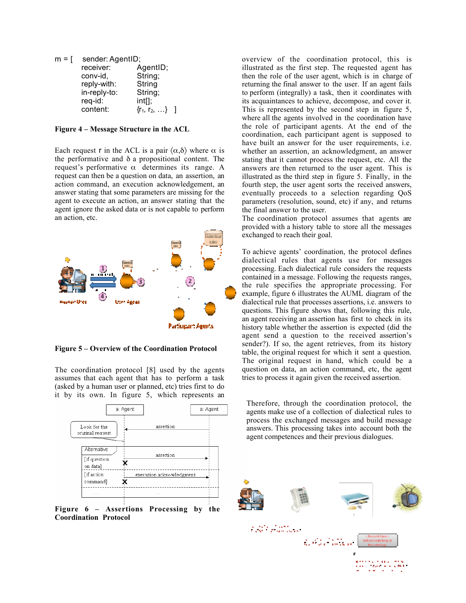| $m = \lceil$ | sender: AgentID; |                      |  |
|--------------|------------------|----------------------|--|
|              | receiver:        | AgentID;             |  |
|              | conv-id,         | String;              |  |
|              | reply-with:      | String               |  |
|              | in-reply-to:     | String;              |  |
|              | req-id:          | $int[]$ ;            |  |
|              | content:         | ${r_1, r_2, \ldots}$ |  |

#### Figure 4 – Message Structure in the ACL

Each request r in the ACL is a pair  $\langle \alpha, \delta \rangle$  where  $\alpha$  is the performative and δ a propositional content. The request's performative α determines its range. A request can then be a question on data, an assertion, an action command, an execution acknowledgement, an answer stating that some parameters are missing for the agent to execute an action, an answer stating that the agent ignore the asked data or is not capable to perform an action, etc.



Figure 5 – Overview of the Coordination Protocol

The coordination protocol [8] used by the agents assumes that each agent that has to perform a task (asked by a human user or planned, etc) tries first to do it by its own. In figure 5, which represents an



Figure 6 – Assertions Processing by the Coordination Protocol

overview of the coordination protocol, this is illustrated as the first step. The requested agent has then the role of the user agent, which is in charge of returning the final answer to the user. If an agent fails to perform (integrally) a task, then it coordinates with its acquaintances to achieve, decompose, and cover it. This is represented by the second step in figure 5, where all the agents involved in the coordination have the role of participant agents. At the end of the coordination, each participant agent is supposed to have built an answer for the user requirements, i.e. whether an assertion, an acknowledgment, an answer stating that it cannot process the request, etc. All the answers are then returned to the user agent. This is illustrated as the third step in figure 5. Finally, in the fourth step, the user agent sorts the received answers, eventually proceeds to a selection regarding QoS parameters (resolution, sound, etc) if any, and returns the final answer to the user.

The coordination protocol assumes that agents are provided with a history table to store all the messages exchanged to reach their goal.

To achieve agents' coordination, the protocol defines dialectical rules that agents use for messages processing. Each dialectical rule considers the requests contained in a message. Following the requests ranges, the rule specifies the appropriate processing. For example, figure 6 illustrates the AUML diagram of the dialectical rule that processes assertions, i.e. answers to questions. This figure shows that, following this rule, an agent receiving an assertion has first to check in its history table whether the assertion is expected (did the agent send a question to the received assertion's sender?). If so, the agent retrieves, from its history table, the original request for which it sent a question. The original request in hand, which could be a question on data, an action command, etc, the agent tries to process it again given the received assertion.

Therefore, through the coordination protocol, the agents make use of a collection of dialectical rules to process the exchanged messages and build message answers. This processing takes into account both the agent competences and their previous dialogues.

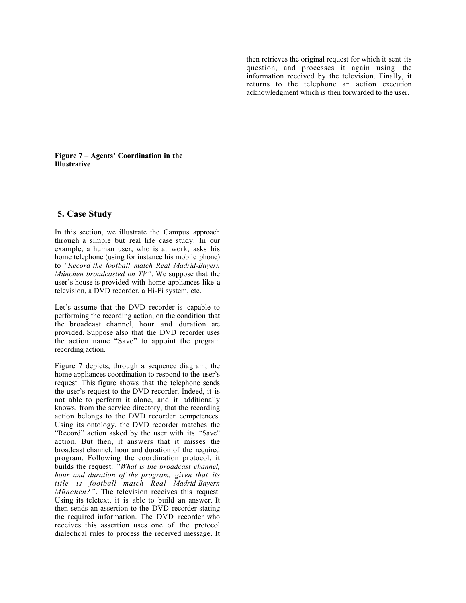then retrieves the original request for which it sent its question, and processes it again using the information received by the television. Finally, it returns to the telephone an action execution acknowledgment which is then forwarded to the user.

Figure 7 – Agents' Coordination in the **Illustrative** 

# 5. Case Study

In this section, we illustrate the Campus approach through a simple but real life case study. In our example, a human user, who is at work, asks his home telephone (using for instance his mobile phone) to *"Record the football match Real Madrid-Bayern München broadcasted on TV"*. We suppose that the user's house is provided with home appliances like a television, a DVD recorder, a Hi-Fi system, etc.

Let's assume that the DVD recorder is capable to performing the recording action, on the condition that the broadcast channel, hour and duration are provided. Suppose also that the DVD recorder uses the action name "Save" to appoint the program recording action.

Figure 7 depicts, through a sequence diagram, the home appliances coordination to respond to the user's request. This figure shows that the telephone sends the user's request to the DVD recorder. Indeed, it is not able to perform it alone, and it additionally knows, from the service directory, that the recording action belongs to the DVD recorder competences. Using its ontology, the DVD recorder matches the "Record" action asked by the user with its "Save" action. But then, it answers that it misses the broadcast channel, hour and duration of the required program. Following the coordination protocol, it builds the request: *"What is the broadcast channel, hour and duration of the program, given that its title is football match Real Madrid-Bayern München?"*. The television receives this request. Using its teletext, it is able to build an answer. It then sends an assertion to the DVD recorder stating the required information. The DVD recorder who receives this assertion uses one of the protocol dialectical rules to process the received message. It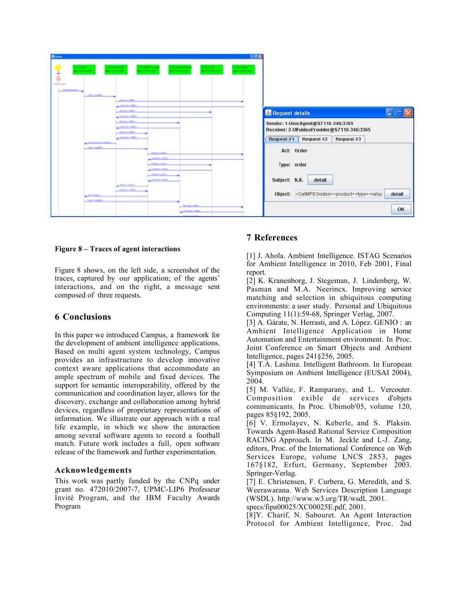| <b>Blues</b>                               |                                                                                              | 580                                                                                                  |
|--------------------------------------------|----------------------------------------------------------------------------------------------|------------------------------------------------------------------------------------------------------|
| <b>Grand Carolina</b><br>and a series and  | <b>The Second Contract</b><br><b>Constitution</b><br><b>UP LAPPOINT</b>                      |                                                                                                      |
| <b>ATT IS SALTAS</b><br><b>ATTINUMENTS</b> | <b>DESIGNATION</b><br><b>BET IN SALES</b><br><b>BETTING ANTIQUE</b><br><b>IT ALCOHOL: NA</b> |                                                                                                      |
| Toyota all-colped                          |                                                                                              |                                                                                                      |
| changes in                                 |                                                                                              |                                                                                                      |
| <b>Installation</b>                        |                                                                                              |                                                                                                      |
| Modern Card Inc.                           |                                                                                              |                                                                                                      |
| University conflicts                       |                                                                                              |                                                                                                      |
| Modern within<br>University realists       |                                                                                              | Request details                                                                                      |
| Many ofter                                 |                                                                                              |                                                                                                      |
| University of the                          |                                                                                              | Sender: 1-UserAgent@S7110-346:3365                                                                   |
| <b>Management</b>                          |                                                                                              | Receiver: 2-UIFvideoProvider@S7110-346:3365                                                          |
| <b>Little Ave.</b>                         |                                                                                              | Request #2<br>Request #1<br>Request #3                                                               |
| <b>American control</b>                    |                                                                                              |                                                                                                      |
| <b>CALCULATE</b>                           |                                                                                              | Act: Order                                                                                           |
|                                            | <b>MARIN SANTA</b><br><b><i>Administration</i></b>                                           |                                                                                                      |
|                                            | <b>House is number.</b>                                                                      |                                                                                                      |
|                                            | Ledguan e railetal.                                                                          | Type: order                                                                                          |
|                                            | <b>PARK &amp; Hollis </b>                                                                    |                                                                                                      |
|                                            | <b>Linkson a rights</b>                                                                      | Subject: N.A.<br>detail                                                                              |
| $-$ What is righted                        |                                                                                              |                                                                                                      |
| Assistant Auditor                          |                                                                                              | <getmpegvideo><product><type><value<br>detail<br/>Object:</value<br></type></product></getmpegvideo> |
| Attended.<br><b>CALIFORNIA</b>             |                                                                                              |                                                                                                      |
|                                            | <b>RAIN AND</b>                                                                              |                                                                                                      |
|                                            | <b>CASH SAVA</b>                                                                             | OK                                                                                                   |
|                                            |                                                                                              |                                                                                                      |

### Figure 8 – Traces of agent interactions

Figure 8 shows, on the left side, a screenshot of the traces, captured by our application; of the agents' interactions, and on the right, a message sent composed of three requests.

# 6 Conclusions

In this paper we introduced Campus, a framework for the development of ambient intelligence applications. Based on multi agent system technology, Campus provides an infrastructure to develop innovative context aware applications that accommodate an ample spectrum of mobile and fixed devices. The support for semantic interoperability, offered by the communication and coordination layer, allows for the discovery, exchange and collaboration among hybrid devices, regardless of proprietary representations of information. We illustrate our approach with a real life example, in which we show the interaction among several software agents to record a football match. Future work includes a full, open software release of the framework and further experimentation.

### Acknowledgements

This work was partly funded by the CNPq under grant no. 472010/2007-7, UPMC-LIP6 Professeur Invité Program, and the IBM Faculty Awards Program

# 7 References

[1] J. Ahola. Ambient Intelligence. ISTAG Scenarios for Ambient Intelligence in 2010, Feb 2001, Final report.

[2] K. Kranenborg, J. Stegeman, J. Lindenberg, W. Pasman and M.A. Neerincx. Improving service matching and selection in ubiquitous computing environments: a user study. Personal and Ubiquitous Computing 11(1):59-68, Springer Verlag, 2007.

[3] A. Gárate, N. Herrasti, and A. López. GENIO : an Ambient Intelligence Application in Home Automation and Entertainment environment. In Proc. Joint Conference on Smart Objects and Ambient Intelligence, pages 241§256, 2005.

[4] T.A. Lashina. Intelligent Bathroom. In European Symposium on Ambient Intelligence (EUSAI 2004), 2004.

[5] M. Vallée, F. Ramparany, and L. Vercouter. Composition exible de services d'objets communicants. In Proc. Ubimob'05, volume 120, pages 85§192, 2005.

[6] V. Ermolayev, N. Keberle, and S. Plaksin. Towards Agent-Based Rational Service Composition RACING Approach. In M. Jeckle and L-J. Zang, editors, Proc. of the International Conference on Web Services Europe, volume LNCS 2853, pages 167§182, Erfurt, Germany, September 2003. Springer-Verlag.

[7] E. Christensen, F. Curbera, G. Meredith, and S. Weerawarana. Web Services Description Language (WSDL). http://www.w3.org/TR/wsdl, 2001.

specs/fipa00025/XC00025E.pdf, 2001.

[8]Y. Charif, N. Sabouret. An Agent Interaction Protocol for Ambient Intelligence, Proc. 2nd